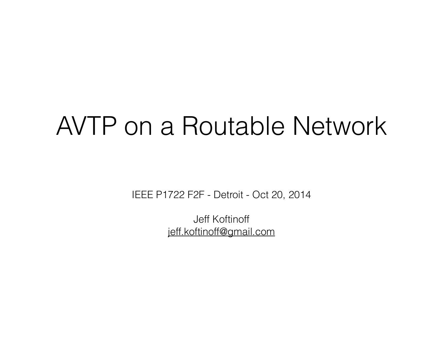### AVTP on a Routable Network

IEEE P1722 F2F - Detroit - Oct 20, 2014

Jeff Koftinoff jeff.koftinoff@gmail.com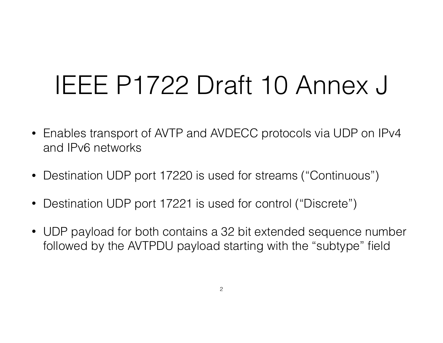### IEEE P1722 Draft 10 Annex J

- Enables transport of AVTP and AVDECC protocols via UDP on IPv4 and IPv6 networks
- Destination UDP port 17220 is used for streams ("Continuous")
- Destination UDP port 17221 is used for control ("Discrete")
- UDP payload for both contains a 32 bit extended sequence number followed by the AVTPDU payload starting with the "subtype" field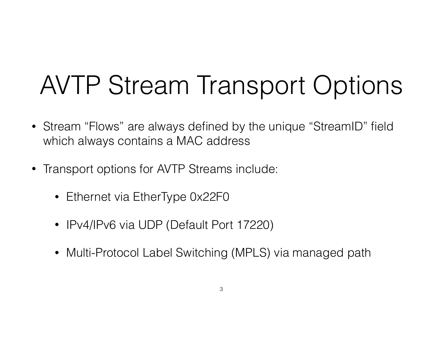# AVTP Stream Transport Options

- Stream "Flows" are always defined by the unique "StreamID" field which always contains a MAC address
- Transport options for AVTP Streams include:
	- Ethernet via EtherType 0x22F0
	- IPv4/IPv6 via UDP (Default Port 17220)
	- Multi-Protocol Label Switching (MPLS) via managed path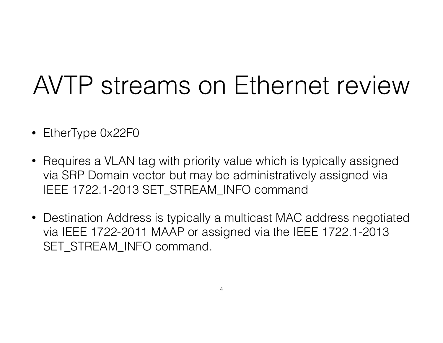## AVTP streams on Ethernet review

- EtherType 0x22F0
- Requires a VLAN tag with priority value which is typically assigned via SRP Domain vector but may be administratively assigned via IEEE 1722.1-2013 SET\_STREAM\_INFO command
- Destination Address is typically a multicast MAC address negotiated via IEEE 1722-2011 MAAP or assigned via the IEEE 1722.1-2013 SET\_STREAM\_INFO command.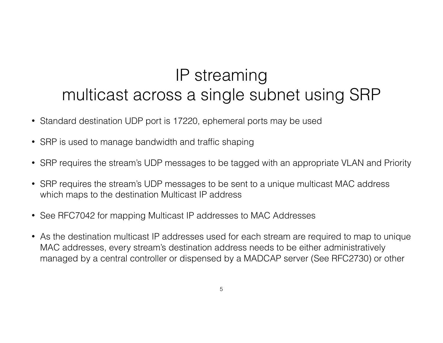#### IP streaming multicast across a single subnet using SRP

- Standard destination UDP port is 17220, ephemeral ports may be used
- SRP is used to manage bandwidth and traffic shaping
- SRP requires the stream's UDP messages to be tagged with an appropriate VLAN and Priority
- SRP requires the stream's UDP messages to be sent to a unique multicast MAC address which maps to the destination Multicast IP address
- See RFC7042 for mapping Multicast IP addresses to MAC Addresses
- As the destination multicast IP addresses used for each stream are required to map to unique MAC addresses, every stream's destination address needs to be either administratively managed by a central controller or dispensed by a MADCAP server (See RFC2730) or other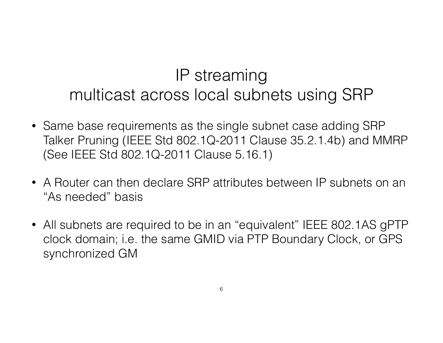#### IP streaming multicast across local subnets using SRP

- Same base requirements as the single subnet case adding SRP Talker Pruning (IEEE Std 802.1Q-2011 Clause 35.2.1.4b) and MMRP (See IEEE Std 802.1Q-2011 Clause 5.16.1)
- A Router can then declare SRP attributes between IP subnets on an "As needed" basis
- All subnets are required to be in an "equivalent" IEEE 802.1AS gPTP clock domain; i.e. the same GMID via PTP Boundary Clock, or GPS synchronized GM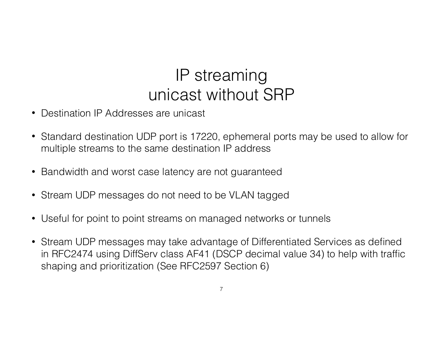#### IP streaming unicast without SRP

- Destination IP Addresses are unicast
- Standard destination UDP port is 17220, ephemeral ports may be used to allow for multiple streams to the same destination IP address
- Bandwidth and worst case latency are not guaranteed
- Stream UDP messages do not need to be VLAN tagged
- Useful for point to point streams on managed networks or tunnels
- Stream UDP messages may take advantage of Differentiated Services as defined in RFC2474 using DiffServ class AF41 (DSCP decimal value 34) to help with traffic shaping and prioritization (See RFC2597 Section 6)